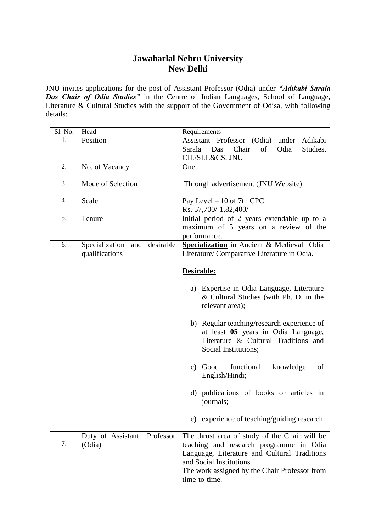## **Jawaharlal Nehru University New Delhi**

JNU invites applications for the post of Assistant Professor (Odia) under *"Adikabi Sarala Das Chair of Odia Studies"* in the Centre of Indian Languages, School of Language, Literature & Cultural Studies with the support of the Government of Odisa, with following details:

| Sl. No. | Head                            | Requirements                                  |
|---------|---------------------------------|-----------------------------------------------|
| 1.      | Position                        | Assistant Professor (Odia) under Adikabi      |
|         |                                 | Chair<br>of<br>Odia<br>Sarala Das<br>Studies, |
|         |                                 | CIL/SLL&CS, JNU                               |
| 2.      | No. of Vacancy                  | One                                           |
|         |                                 |                                               |
| 3.      | Mode of Selection               | Through advertisement (JNU Website)           |
|         |                                 |                                               |
| 4.      | Scale                           | Pay Level - 10 of 7th CPC                     |
|         |                                 | Rs. 57,700/-1,82,400/-                        |
| 5.      | Tenure                          | Initial period of 2 years extendable up to a  |
|         |                                 | maximum of 5 years on a review of the         |
|         |                                 | performance.                                  |
| 6.      | Specialization<br>and desirable | Specialization in Ancient & Medieval Odia     |
|         | qualifications                  | Literature/ Comparative Literature in Odia.   |
|         |                                 |                                               |
|         |                                 | Desirable:                                    |
|         |                                 |                                               |
|         |                                 | a) Expertise in Odia Language, Literature     |
|         |                                 | & Cultural Studies (with Ph. D. in the        |
|         |                                 | relevant area);                               |
|         |                                 |                                               |
|         |                                 | b) Regular teaching/research experience of    |
|         |                                 |                                               |
|         |                                 | at least 05 years in Odia Language,           |
|         |                                 | Literature & Cultural Traditions and          |
|         |                                 | Social Institutions;                          |
|         |                                 | c) Good<br>functional                         |
|         |                                 | knowledge<br>of                               |
|         |                                 | English/Hindi;                                |
|         |                                 |                                               |
|         |                                 | d) publications of books or articles in       |
|         |                                 | journals;                                     |
|         |                                 |                                               |
|         |                                 | e) experience of teaching/guiding research    |
|         |                                 |                                               |
| 7.      | Duty of Assistant Professor     | The thrust area of study of the Chair will be |
|         | (Odia)                          | teaching and research programme in Odia       |
|         |                                 | Language, Literature and Cultural Traditions  |
|         |                                 | and Social Institutions.                      |
|         |                                 | The work assigned by the Chair Professor from |
|         |                                 | time-to-time.                                 |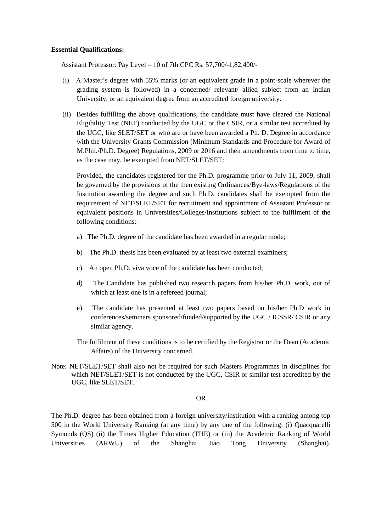## **Essential Qualifications:**

Assistant Professor: Pay Level – 10 of 7th CPC Rs. 57,700/-1,82,400/-

- (i) A Master's degree with 55% marks (or an equivalent grade in a point-scale wherever the grading system is followed) in a concerned/ relevant/ allied subject from an Indian University, or an equivalent degree from an accredited foreign university.
- (ii) Besides fulfilling the above qualifications, the candidate must have cleared the National Eligibility Test (NET) conducted by the UGC or the CSIR, or a similar test accredited by the UGC, like SLET/SET or who are or have been awarded a Ph. D. Degree in accordance with the University Grants Commission (Minimum Standards and Procedure for Award of M.Phil./Ph.D. Degree) Regulations, 2009 or 2016 and their amendments from time to time, as the case may, be exempted from NET/SLET/SET:

Provided, the candidates registered for the Ph.D. programme prior to July 11, 2009, shall be governed by the provisions of the then existing Ordinances/Bye-laws/Regulations of the Institution awarding the degree and such Ph.D. candidates shall be exempted from the requirement of NET/SLET/SET for recruitment and appointment of Assistant Professor or equivalent positions in Universities/Colleges/Institutions subject to the fulfilment of the following conditions:-

- a) The Ph.D. degree of the candidate has been awarded in a regular mode;
- b) The Ph.D. thesis has been evaluated by at least two external examiners;
- c) An open Ph.D. viva voce of the candidate has been conducted;
- d) The Candidate has published two research papers from his/her Ph.D. work, out of which at least one is in a refereed journal;
- e) The candidate has presented at least two papers based on his/her Ph.D work in conferences/seminars sponsored/funded/supported by the UGC / ICSSR/ CSIR or any similar agency.
- The fulfilment of these conditions is to be certified by the Registrar or the Dean (Academic Affairs) of the University concerned.
- Note: NET/SLET/SET shall also not be required for such Masters Programmes in disciplines for which NET/SLET/SET is not conducted by the UGC, CSIR or similar test accredited by the UGC, like SLET/SET.

## OR

The Ph.D. degree has been obtained from a foreign university/institution with a ranking among top 500 in the World University Ranking (at any time) by any one of the following: (i) Quacquarelli Symonds (QS) (ii) the Times Higher Education (THE) or (iii) the Academic Ranking of World Universities (ARWU) of the Shanghai Jiao Tong University (Shanghai).